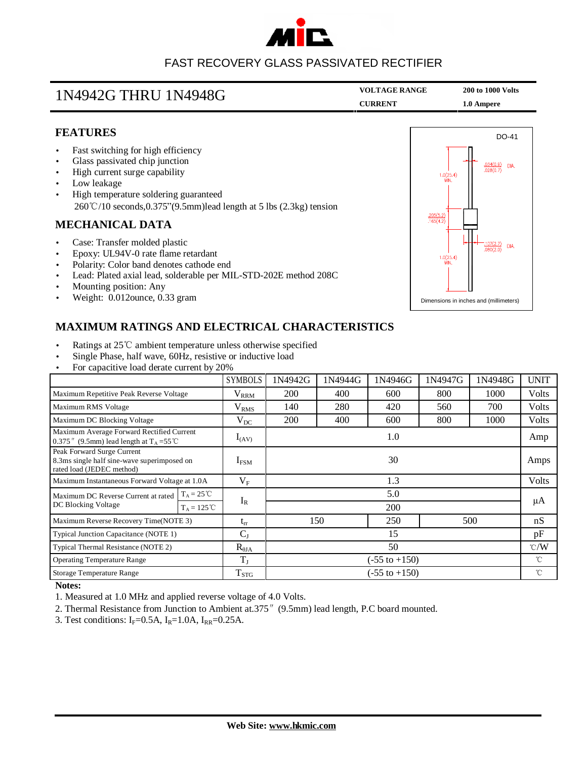

# FAST RECOVERY GLASS PASSIVATED RECTIFIER

| 1N4942G THRU 1N4948G | <b>VOLTAGE RANGE</b> | <b>200 to 1000 Volts</b> |  |
|----------------------|----------------------|--------------------------|--|
|                      | <b>CURRENT</b>       | 1.0 Ampere               |  |

### **FEATURES**

- Fast switching for high efficiency
- Glass passivated chip junction
- High current surge capability
- Low leakage
- High temperature soldering guaranteed 260℃/10 seconds,0.375"(9.5mm)lead length at 5 lbs (2.3kg) tension

#### **MECHANICAL DATA**

- Case: Transfer molded plastic
- Epoxy: UL94V-0 rate flame retardant
- Polarity: Color band denotes cathode end
- Lead: Plated axial lead, solderable per MIL-STD-202E method 208C
- Mounting position: Any
- Weight: 0.012ounce, 0.33 gram



## **MAXIMUM RATINGS AND ELECTRICAL CHARACTERISTICS**

- Ratings at 25℃ ambient temperature unless otherwise specified
- Single Phase, half wave, 60Hz, resistive or inductive load
- For capacitive load derate current by 20%

|                                                                                                        |                     | <b>SYMBOLS</b>          | 1N4942G                  | 1N4944G | 1N4946G | 1N4947G         | 1N4948G | <b>UNIT</b>  |
|--------------------------------------------------------------------------------------------------------|---------------------|-------------------------|--------------------------|---------|---------|-----------------|---------|--------------|
| Maximum Repetitive Peak Reverse Voltage                                                                |                     | $V_{RRM}$               | 200                      | 400     | 600     | 800             | 1000    | <b>Volts</b> |
| Maximum RMS Voltage                                                                                    |                     | $\rm V_{RMS}$           | 140                      | 280     | 420     | 560             | 700     | <b>Volts</b> |
| Maximum DC Blocking Voltage                                                                            |                     | $V_{DC}$                | 200                      | 400     | 600     | 800             | 1000    | Volts        |
| Maximum Average Forward Rectified Current<br>0.375" (9.5mm) lead length at $T_A = 55^{\circ}$ C        |                     | $I_{(AV)}$              | 1.0                      |         |         |                 |         | Amp          |
| Peak Forward Surge Current<br>8.3ms single half sine-wave superimposed on<br>rated load (JEDEC method) |                     | $I_{FSM}$               | 30                       |         |         |                 |         | Amps         |
| Maximum Instantaneous Forward Voltage at 1.0A                                                          |                     | $\rm V_F$               | 1.3                      |         |         |                 |         | Volts        |
| Maximum DC Reverse Current at rated<br>DC Blocking Voltage                                             | $T_A = 25^{\circ}C$ |                         | 5.0                      |         |         |                 |         |              |
|                                                                                                        | $T_A = 125 °C$      | $I_R$                   |                          | 200     |         |                 |         | μA           |
| Maximum Reverse Recovery Time(NOTE 3)                                                                  |                     | $t_{rr}$                | 150                      |         | 250     | 500             |         | nS           |
| $C_{J}$<br>Typical Junction Capacitance (NOTE 1)                                                       |                     | 15                      |                          |         |         |                 | pF      |              |
| Typical Thermal Resistance (NOTE 2)                                                                    |                     | $R_{\theta JA}$         | 50                       |         |         | $\mathcal{C}/W$ |         |              |
| <b>Operating Temperature Range</b>                                                                     |                     | $T_{\rm I}$             | $(-55 \text{ to } +150)$ |         |         | °C              |         |              |
| Storage Temperature Range                                                                              |                     | <b>T</b> <sub>STG</sub> | $(-55 \text{ to } +150)$ |         |         | $^{\circ}$ C    |         |              |

#### **Notes:**

- 1. Measured at 1.0 MHz and applied reverse voltage of 4.0 Volts.
- 2. Thermal Resistance from Junction to Ambient at.375″(9.5mm) lead length, P.C board mounted.
- 3. Test conditions:  $I_F = 0.5A$ ,  $I_R = 1.0A$ ,  $I_{RR} = 0.25A$ .